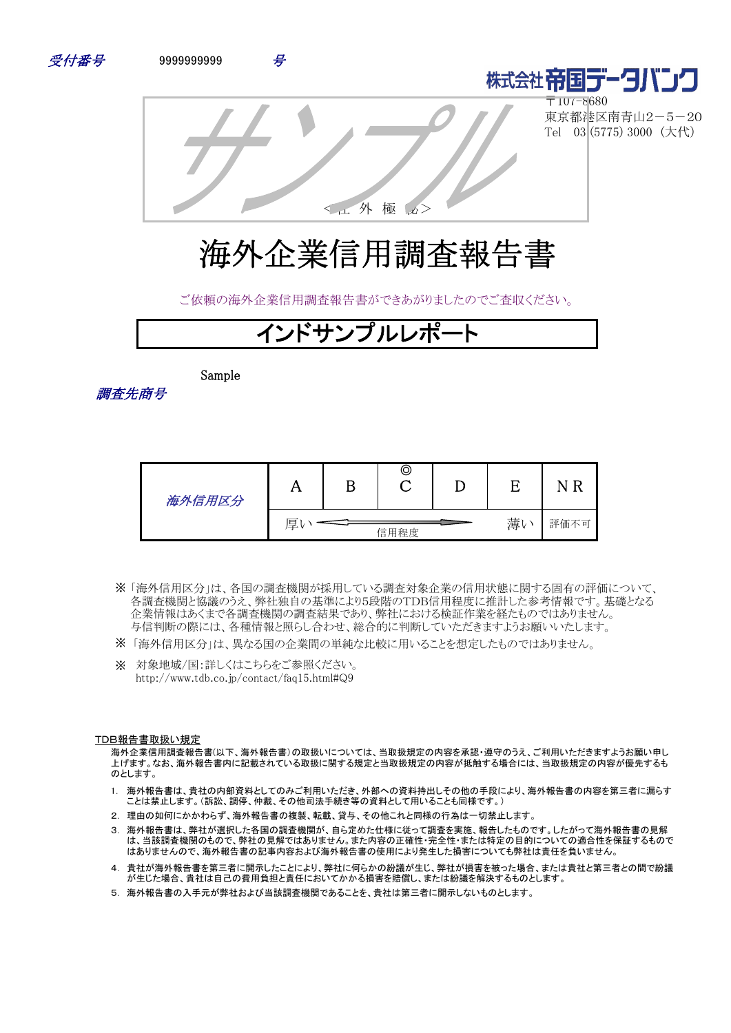





〒107-8680 東京都港区南青山2-5-20 Tel 03 (5775) 3000 (大代)

<社 外 極 秘>

# 海外企業信用調査報告書

ご依頼の海外企業信用調査報告書ができあがりましたのでご査収ください。

# インドサンプルレポ

Sample



| 海外信用区分 |   | ©    |          | -R<br>N |
|--------|---|------|----------|---------|
|        | 厚 | 信用程度 | 薄<br>. V | 評価不可    |

- 「海外信用区分」は、各国の調査機関が採用している調査対象企業の信用状態に関する固有の評価について、 ※ 各調査機関と協議のうえ、弊社独自の基準により5段階のTDB信用程度に推計した参考情報です。基礎となる 企業情報はあくまで各調査機関の調査結果であり、弊社における検証作業を経たものではありません。 与信判断の際には、各種情報と照らし合わせ、総合的に判断していただきますようお願いいたします。
- ※ 「海外信用区分」は、異なる国の企業間の単純な比較に用いることを想定したものではありません。
- ※ 対象地域/国:詳しくはこちらをご参照ください。 http://www.tdb.co.jp/contact/faq15.html#Q9

#### TDB報告書取扱い規定

海外企業信用調査報告書(以下、海外報告書)の取扱いについては、当取扱規定の内容を承認・遵守のうえ、ご利用いただきますようお願い申し 上げます。なお、海外報告書内に記載されている取扱に関する規定と当取扱規定の内容が抵触する場合には、当取扱規定の内容が優先するも のとします。

- 1. 海外報告書は、貴社の内部資料としてのみご利用いただき、外部への資料持出しその他の手段により、海外報告書の内容を第三者に漏らす ことは禁止します。(訴訟、調停、仲裁、その他司法手続き等の資料として用いることも同様です。)
- 2. 理由の如何にかかわらず、海外報告書の複製、転載、貸与、その他これと同様の行為は一切禁止します。
- 3. 海外報告書は、弊社が選択した各国の調査機関が、自ら定めた仕様に従って調査を実施、報告したものです。したがって海外報告書の見解 は、当該調査機関のもので、弊社の見解ではありません。また内容の正確性・完全性・または特定の目的についての適合性を保証するもので はありませんので、海外報告書の記事内容および海外報告書の使用により発生した損害についても弊社は責任を負いません。
- 4. 貴社が海外報告書を第三者に開示したことにより、弊社に何らかの紛議が生じ、弊社が損害を被った場合、または貴社と第三者との間で紛議 が生じた場合、貴社は自己の費用負担と責任においてかかる損害を賠償し、または紛議を解決するものとします。
- 5. 海外報告書の入手元が弊社および当該調査機関であることを、貴社は第三者に開示しないものとします。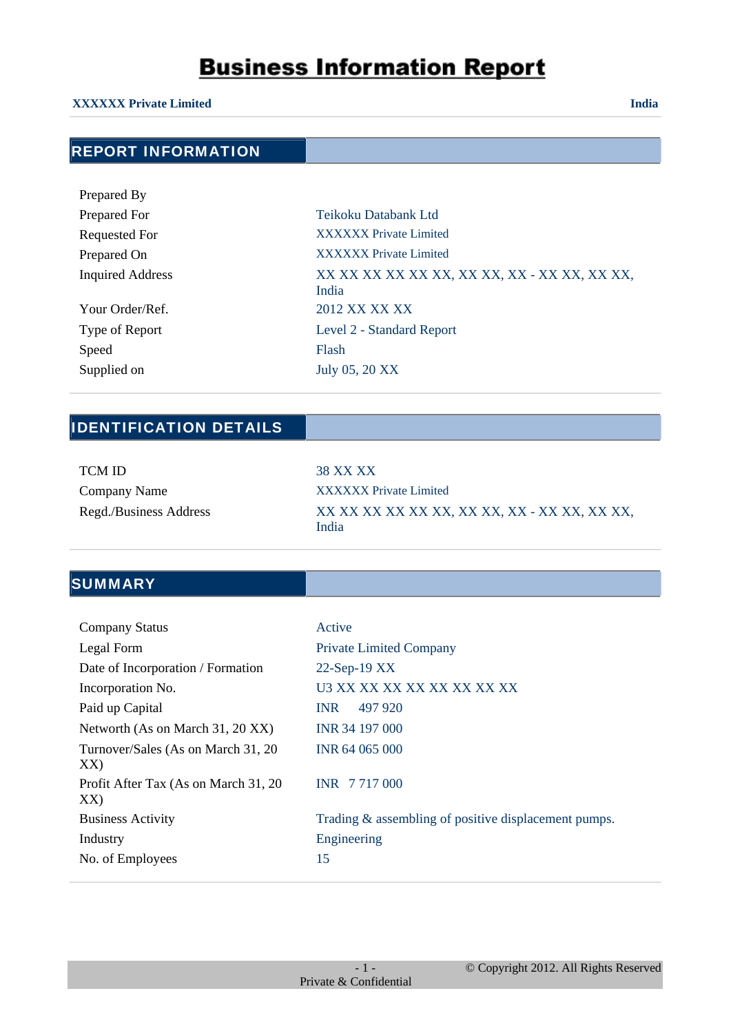#### **XXXXXX Private Limited India**

### REPORT INFORMATION

| Prepared By             |                                                       |
|-------------------------|-------------------------------------------------------|
| Prepared For            | Teikoku Databank Ltd                                  |
| <b>Requested For</b>    | <b>XXXXXX Private Limited</b>                         |
| Prepared On             | <b>XXXXXX</b> Private Limited                         |
| <b>Inquired Address</b> | XX XX XX XX XX XX, XX XX, XX - XX XX, XX XX,<br>India |
| Your Order/Ref.         | 2012 XX XX XX                                         |
| Type of Report          | Level 2 - Standard Report                             |
| Speed                   | Flash                                                 |
| Supplied on             | July 05, 20 XX                                        |

### IDENTIFICATION DETAILS

| <b>TCM ID</b>          |
|------------------------|
| Company Name           |
| Regd./Business Address |

38 XX XX **XXXXXX Private Limited** Regd./Business Address XX XX XX XX XX XX, XX XX, XX - XX XX, XX XX, India

### **SUMMARY**

| <b>Company Status</b>                       | Active                                               |
|---------------------------------------------|------------------------------------------------------|
| Legal Form                                  | <b>Private Limited Company</b>                       |
| Date of Incorporation / Formation           | $22$ -Sep-19 XX                                      |
| Incorporation No.                           | U3 XX XX XX XX XX XX XX XX                           |
| Paid up Capital                             | <b>INR</b><br>497 920                                |
| Networth (As on March 31, 20 XX)            | INR 34 197 000                                       |
| Turnover/Sales (As on March 31, 20)<br>XX)  | INR 64 065 000                                       |
| Profit After Tax (As on March 31, 20<br>XX) | INR 7717000                                          |
| <b>Business Activity</b>                    | Trading & assembling of positive displacement pumps. |
| Industry                                    | Engineering                                          |
| No. of Employees                            | 15                                                   |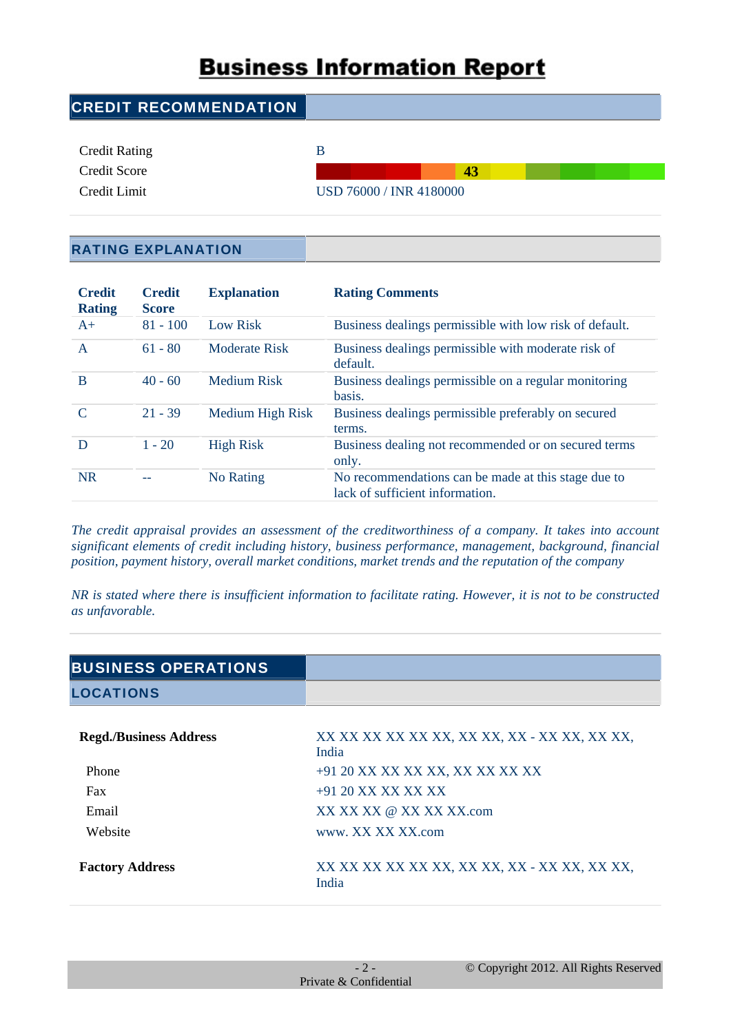| <b>CREDIT RECOMMENDATION</b> |                         |
|------------------------------|-------------------------|
| <b>Credit Rating</b>         | В                       |
| Credit Score                 | 43                      |
| Credit Limit                 | USD 76000 / INR 4180000 |

#### RATING EXPLANATION

| <b>Credit</b><br><b>Rating</b> | <b>Credit</b><br><b>Score</b> | <b>Explanation</b>   | <b>Rating Comments</b>                                                                 |
|--------------------------------|-------------------------------|----------------------|----------------------------------------------------------------------------------------|
| $A+$                           | $81 - 100$                    | <b>Low Risk</b>      | Business dealings permissible with low risk of default.                                |
| A                              | $61 - 80$                     | <b>Moderate Risk</b> | Business dealings permissible with moderate risk of<br>default.                        |
| B                              | $40 - 60$                     | <b>Medium Risk</b>   | Business dealings permissible on a regular monitoring<br>basis.                        |
| C                              | $21 - 39$                     | Medium High Risk     | Business dealings permissible preferably on secured<br>terms.                          |
| D                              | $1 - 20$                      | <b>High Risk</b>     | Business dealing not recommended or on secured terms<br>only.                          |
| <b>NR</b>                      |                               | No Rating            | No recommendations can be made at this stage due to<br>lack of sufficient information. |

*The credit appraisal provides an assessment of the creditworthiness of a company. It takes into account significant elements of credit including history, business performance, management, background, financial position, payment history, overall market conditions, market trends and the reputation of the company*

*NR is stated where there is insufficient information to facilitate rating. However, it is not to be constructed as unfavorable.*

| <b>BUSINESS OPERATIONS</b>    |                                                       |
|-------------------------------|-------------------------------------------------------|
| <b>LOCATIONS</b>              |                                                       |
| <b>Regd./Business Address</b> | XX XX XX XX XX XX, XX XX, XX - XX XX, XX XX,<br>India |
| Phone                         | +91 20 XX XX XX XX, XX XX XX XX                       |
| Fax                           | $+91$ 20 XX XX XX XX                                  |
| Email                         | XX XX XX @ XX XX XX com                               |
| Website                       | www. XX XX XX.com                                     |
| <b>Factory Address</b>        | XX XX XX XX XX XX, XX XX, XX - XX XX, XX XX,<br>India |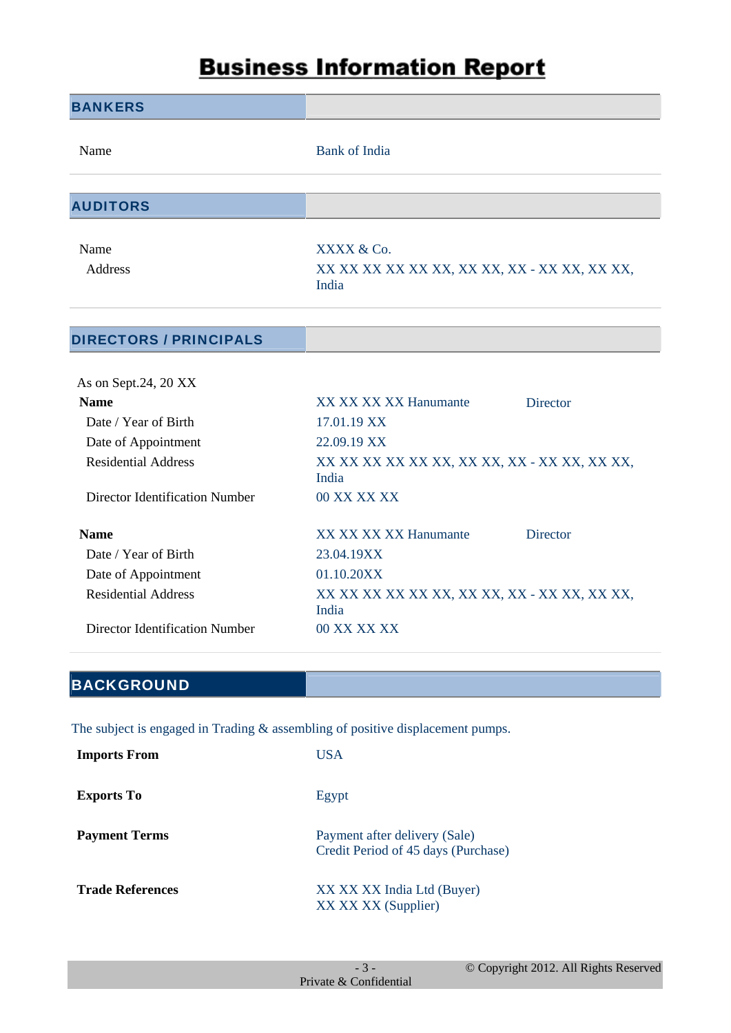| <b>BANKERS</b>                        |                                                                                   |
|---------------------------------------|-----------------------------------------------------------------------------------|
| Name                                  | <b>Bank of India</b>                                                              |
|                                       |                                                                                   |
| <b>AUDITORS</b>                       |                                                                                   |
| Name                                  | XXXX & Co.                                                                        |
| Address                               | XX XX XX XX XX XX, XX XX, XX - XX XX, XX XX,<br>India                             |
| <b>DIRECTORS / PRINCIPALS</b>         |                                                                                   |
| As on Sept.24, 20 XX                  |                                                                                   |
| <b>Name</b>                           | XX XX XX XX Hanumante<br><b>Director</b>                                          |
| Date / Year of Birth                  | 17.01.19 XX                                                                       |
| Date of Appointment                   | 22.09.19 XX                                                                       |
| <b>Residential Address</b>            | XX XX XX XX XX XX, XX XX, XX - XX XX, XX XX,<br>India                             |
| Director Identification Number        | 00 XX XX XX                                                                       |
| <b>Name</b>                           | XX XX XX XX Hanumante<br><b>Director</b>                                          |
| Date / Year of Birth                  | 23.04.19XX                                                                        |
| Date of Appointment                   | 01.10.20XX                                                                        |
| <b>Residential Address</b>            | XX XX XX XX XX XX, XX XX, XX - XX XX, XX XX,<br>India                             |
| <b>Director Identification Number</b> | 00 XX XX XX                                                                       |
|                                       |                                                                                   |
| <b>BACKGROUND</b>                     |                                                                                   |
|                                       | The subject is engaged in Trading $\&$ assembling of positive displacement pumps. |
| <b>Imports From</b>                   | <b>USA</b>                                                                        |
| <b>Exports To</b>                     | Egypt                                                                             |
| <b>Payment Terms</b>                  | Payment after delivery (Sale)<br>Credit Period of 45 days (Purchase)              |
| <b>Trade References</b>               | XX XX XX India Ltd (Buyer)                                                        |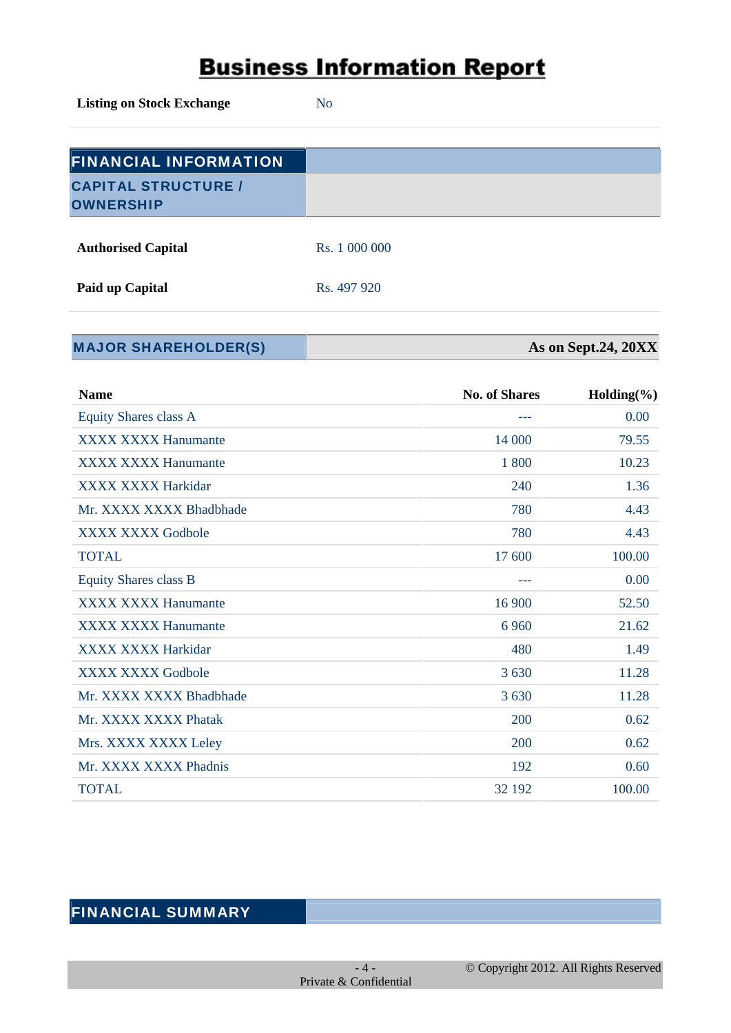**Listing on Stock Exchange** No

| <b>FINANCIAL INFORMATION</b>                   |               |
|------------------------------------------------|---------------|
| <b>CAPITAL STRUCTURE /</b><br><b>OWNERSHIP</b> |               |
| <b>Authorised Capital</b>                      | Rs. 1 000 000 |

**Paid up Capital** Rs. 497 920

**MAJOR SHAREHOLDER(S) As on Sept.24, 20XX** 

| <b>Name</b>                  | <b>No. of Shares</b> | Holding $(\% )$ |
|------------------------------|----------------------|-----------------|
| Equity Shares class A        |                      | 0.00            |
| <b>XXXX XXXX Hanumante</b>   | 14 000               | 79.55           |
| <b>XXXX XXXX Hanumante</b>   | 1 800                | 10.23           |
| <b>XXXX XXXX Harkidar</b>    | 240                  | 1.36            |
| Mr. XXXX XXXX Bhadbhade      | 780                  | 4.43            |
| XXXX XXXX Godbole            | 780                  | 4.43            |
| <b>TOTAL</b>                 | 17 600               | 100.00          |
| <b>Equity Shares class B</b> | ---                  | 0.00            |
| <b>XXXX XXXX Hanumante</b>   | 16 900               | 52.50           |
| <b>XXXX XXXX Hanumante</b>   | 6 9 6 0              | 21.62           |
| <b>XXXX XXXX Harkidar</b>    | 480                  | 1.49            |
| <b>XXXX XXXX Godbole</b>     | 3 6 3 0              | 11.28           |
| Mr. XXXX XXXX Bhadbhade      | 3 6 3 0              | 11.28           |
| Mr. XXXX XXXX Phatak         | <b>200</b>           | 0.62            |
| Mrs. XXXX XXXX Leley         | 200                  | 0.62            |
| Mr. XXXX XXXX Phadnis        | 192                  | 0.60            |
| <b>TOTAL</b>                 | 32 192               | 100.00          |

### FINANCIAL SUMMARY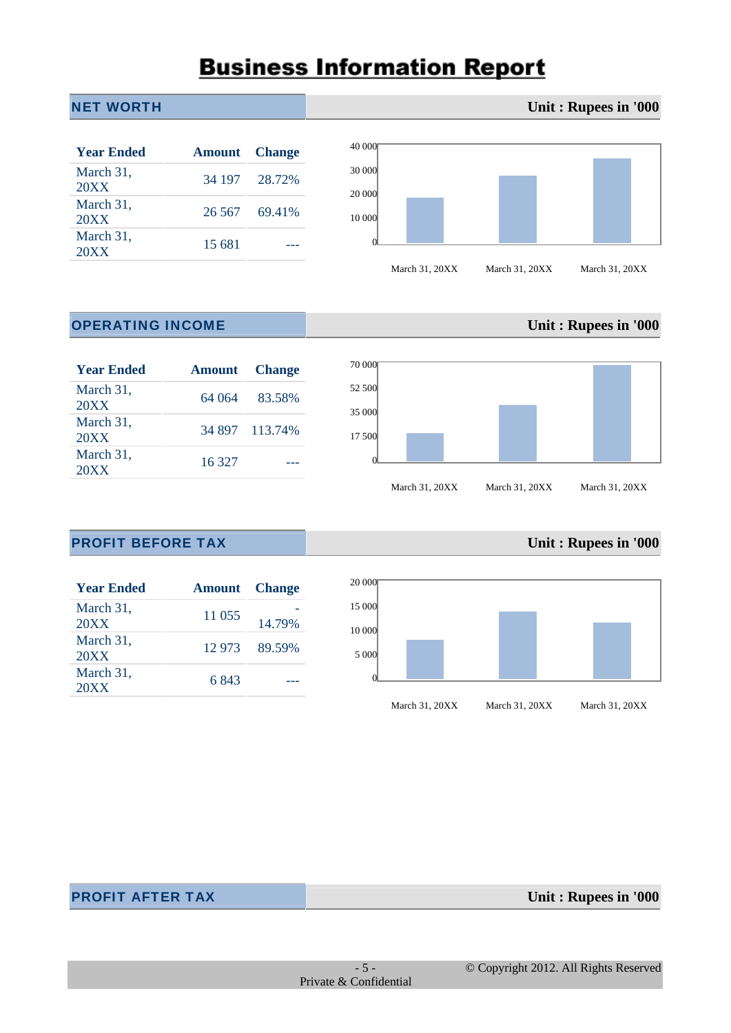#### **NET WORTH <b>Unit : Rupees in '000**

| <b>Year Ended</b> | <b>Amount</b> Change |               |
|-------------------|----------------------|---------------|
| March 31,<br>20XX |                      | 34 197 28.72% |
| March 31,<br>20XX |                      | 26.567 69.41% |
| March 31,<br>20XX | 15.681               |               |



#### **OPERATING INCOME Unit : Rupees in '000**

| <b>Year Ended</b> |        | <b>Amount</b> Change |
|-------------------|--------|----------------------|
| March 31,<br>20XX |        | 64 064 83.58%        |
| March 31,<br>20XX |        | 34 897 113.74%       |
| March 31,<br>20XX | 16 327 |                      |



#### **PROFIT BEFORE TAX Unit : Rupees in '000**

| <b>Year Ended</b> | <b>Amount</b> Change |               |
|-------------------|----------------------|---------------|
| March 31,<br>20XX | 11 055               | 14.79%        |
| March 31,<br>20XX |                      | 12 973 89.59% |
| March 31,<br>20XX | 6843                 |               |



March 31, 20XX March 31, 20XX March 31, 20XX

**PROFIT AFTER TAX Unit : Rupees in '000**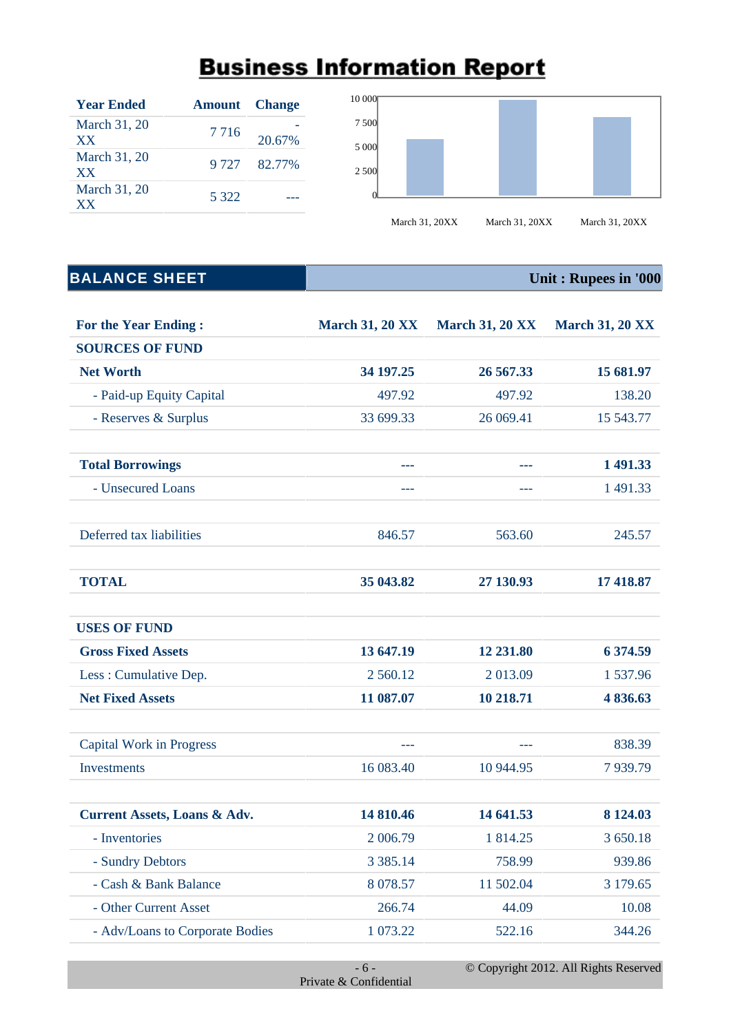| <b>Year Ended</b>         | <b>Amount</b> Change |              |
|---------------------------|----------------------|--------------|
| March 31, 20<br>XX.       | 7 7 1 6              | 20.67%       |
| March 31, 20<br><b>XX</b> |                      | 9 727 82.77% |
| March 31, 20<br><b>XX</b> | 5 3 2 2              |              |



### **BALANCE SHEET Unit : Rupees in '000**

| <b>For the Year Ending:</b>             | <b>March 31, 20 XX</b> | <b>March 31, 20 XX</b> | <b>March 31, 20 XX</b> |
|-----------------------------------------|------------------------|------------------------|------------------------|
| <b>SOURCES OF FUND</b>                  |                        |                        |                        |
| <b>Net Worth</b>                        | 34 197.25              | 26 567.33              | 15 681.97              |
| - Paid-up Equity Capital                | 497.92                 | 497.92                 | 138.20                 |
| - Reserves & Surplus                    | 33 699.33              | 26 069.41              | 15 543.77              |
| <b>Total Borrowings</b>                 | ---                    | a a s                  | 1 491.33               |
| - Unsecured Loans                       | ---                    | ---                    | 1 491.33               |
| Deferred tax liabilities                | 846.57                 | 563.60                 | 245.57                 |
| <b>TOTAL</b>                            | 35 043.82              | 27 130.93              | 17 418.87              |
| <b>USES OF FUND</b>                     |                        |                        |                        |
| <b>Gross Fixed Assets</b>               | 13 647.19              | 12 231.80              | 6 374.59               |
| Less: Cumulative Dep.                   | 2 560.12               | 2 013.09               | 1537.96                |
| <b>Net Fixed Assets</b>                 | 11 087.07              | 10 218.71              | 4 836.63               |
| <b>Capital Work in Progress</b>         | ---                    | $---$                  | 838.39                 |
| <b>Investments</b>                      | 16 083.40              | 10 944.95              | 7939.79                |
| <b>Current Assets, Loans &amp; Adv.</b> | 14 810.46              | 14 641.53              | 8 124.03               |
| - Inventories                           | 2 006.79               | 1 814.25               | 3 650.18               |
| - Sundry Debtors                        | 3 3 8 5 . 1 4          | 758.99                 | 939.86                 |
| - Cash & Bank Balance                   | 8 0 78.57              | 11 502.04              | 3 179.65               |
| - Other Current Asset                   | 266.74                 | 44.09                  | 10.08                  |
| - Adv/Loans to Corporate Bodies         | 1 073.22               | 522.16                 | 344.26                 |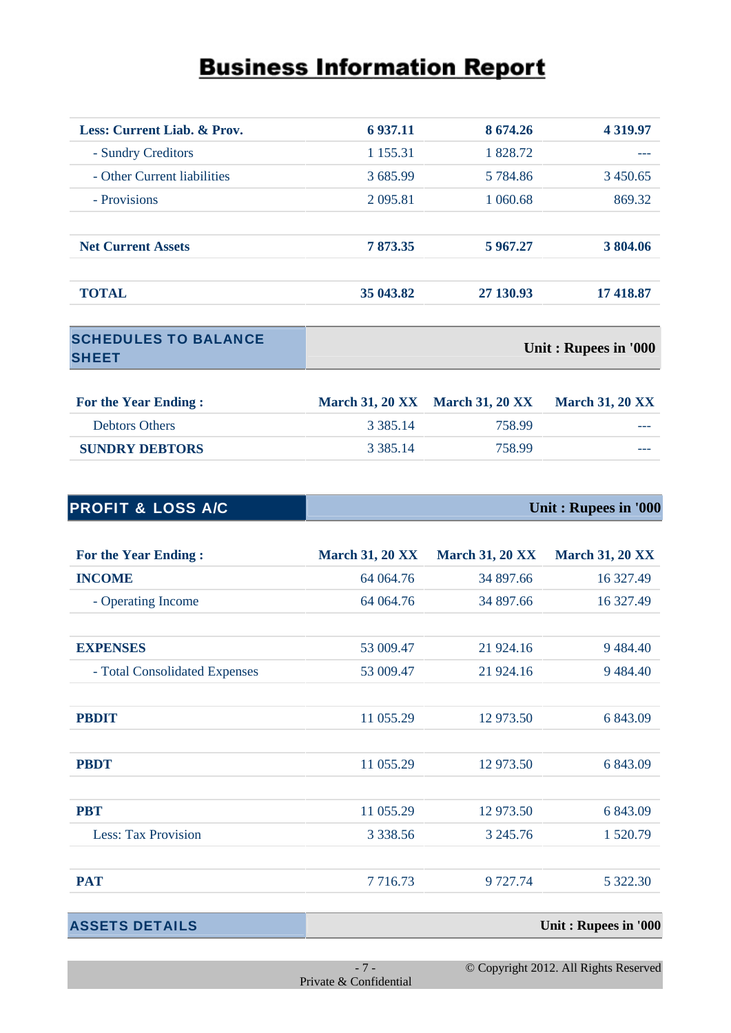| Less: Current Liab. & Prov. | 6 9 3 7 . 1 1 | 8 674.26  | 4 3 1 9 . 9 7 |
|-----------------------------|---------------|-----------|---------------|
| - Sundry Creditors          | 1 1 5 5 . 3 1 | 1 828.72  |               |
| - Other Current liabilities | 3685.99       | 5 784.86  | 3450.65       |
| - Provisions                | 2 0 9 5 .81   | 1 060.68  | 869.32        |
| <b>Net Current Assets</b>   | 7 873.35      | 5 967.27  | 3 804.06      |
| <b>TOTAL</b>                | 35 043.82     | 27 130.93 | 17418.87      |

| <b>SCHEDULES TO BALANCE</b> |                      |
|-----------------------------|----------------------|
| <b>SHEET</b>                | Unit: Rupees in '000 |
|                             |                      |

| <b>For the Year Ending:</b> |             | <b>March 31, 20 XX</b> March 31, 20 XX | <b>March 31, 20 XX</b> |
|-----------------------------|-------------|----------------------------------------|------------------------|
| <b>Debtors Others</b>       | 3 3 8 5 1 4 | 758.99                                 | ---                    |
| <b>SUNDRY DEBTORS</b>       | 3 3 8 5 1 4 | 758.99                                 | ---                    |

| <b>PROFIT &amp; LOSS A/C</b> | Unit: Rupees in '000 |
|------------------------------|----------------------|
|                              |                      |

| <b>For the Year Ending:</b>   | <b>March 31, 20 XX</b> | <b>March 31, 20 XX</b> | <b>March 31, 20 XX</b> |
|-------------------------------|------------------------|------------------------|------------------------|
| <b>INCOME</b>                 | 64 064.76              | 34 897.66              | 16 327.49              |
| - Operating Income            | 64 064.76              | 34 897.66              | 16 327.49              |
| <b>EXPENSES</b>               | 53 009.47              | 21 924.16              | 9 4 8 4.40             |
| - Total Consolidated Expenses | 53 009.47              | 21 924.16              | 9484.40                |
| <b>PBDIT</b>                  | 11 055.29              | 12 973.50              | 6 843.09               |
| <b>PBDT</b>                   | 11 055.29              | 12 973.50              | 6 843.09               |
| <b>PBT</b>                    | 11 055.29              | 12 973.50              | 6 843.09               |
| <b>Less: Tax Provision</b>    | 3 3 3 8 . 5 6          | 3 245.76               | 1 520.79               |
| <b>PAT</b>                    | 7716.73                | 9 727.74               | 5 322.30               |

**ASSETS DETAILS Unit : Rupees in '000**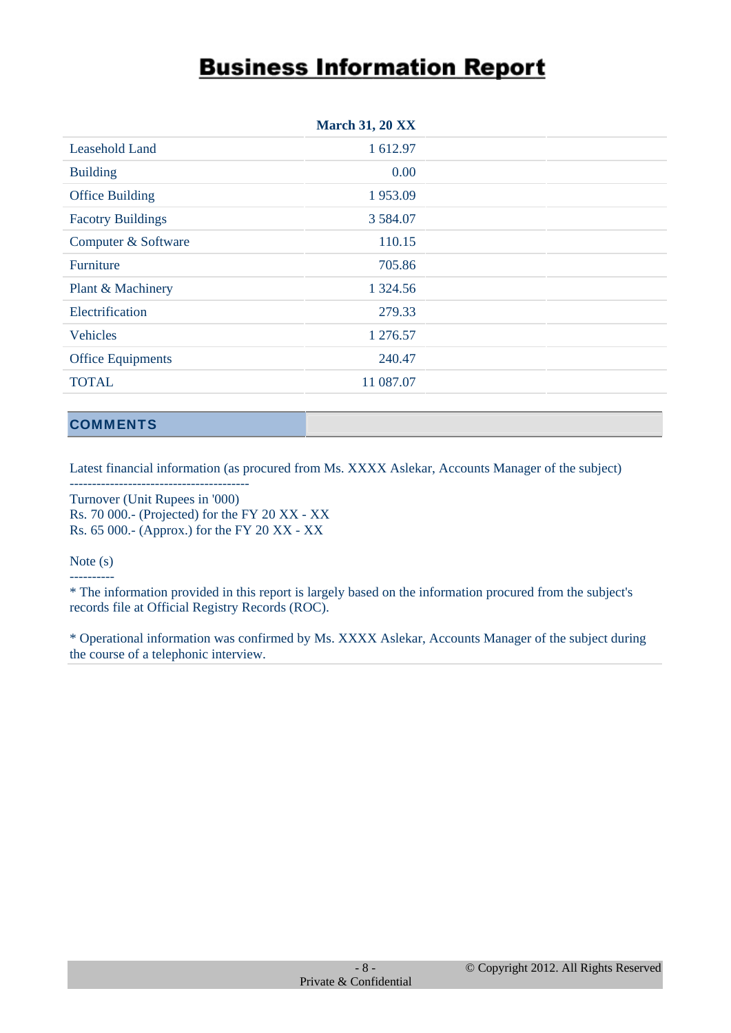|                          | <b>March 31, 20 XX</b> |  |
|--------------------------|------------------------|--|
| Leasehold Land           | 1 612.97               |  |
| <b>Building</b>          | 0.00                   |  |
| <b>Office Building</b>   | 1953.09                |  |
| <b>Facotry Buildings</b> | 3 5 8 4 .0 7           |  |
| Computer & Software      | 110.15                 |  |
| Furniture                | 705.86                 |  |
| Plant & Machinery        | 1 3 2 4 .5 6           |  |
| Electrification          | 279.33                 |  |
| <b>Vehicles</b>          | 1 276.57               |  |
| <b>Office Equipments</b> | 240.47                 |  |
| <b>TOTAL</b>             | 11 087.07              |  |
|                          |                        |  |

#### **COMMENTS**

Latest financial information (as procured from Ms. XXXX Aslekar, Accounts Manager of the subject)

---------------------------------------- Turnover (Unit Rupees in '000) Rs. 70 000.- (Projected) for the FY 20 XX - XX Rs. 65 000.- (Approx.) for the FY 20 XX - XX

#### Note (s) ----------

\* The information provided in this report is largely based on the information procured from the subject's records file at Official Registry Records (ROC).

\* Operational information was confirmed by Ms. XXXX Aslekar, Accounts Manager of the subject during the course of a telephonic interview.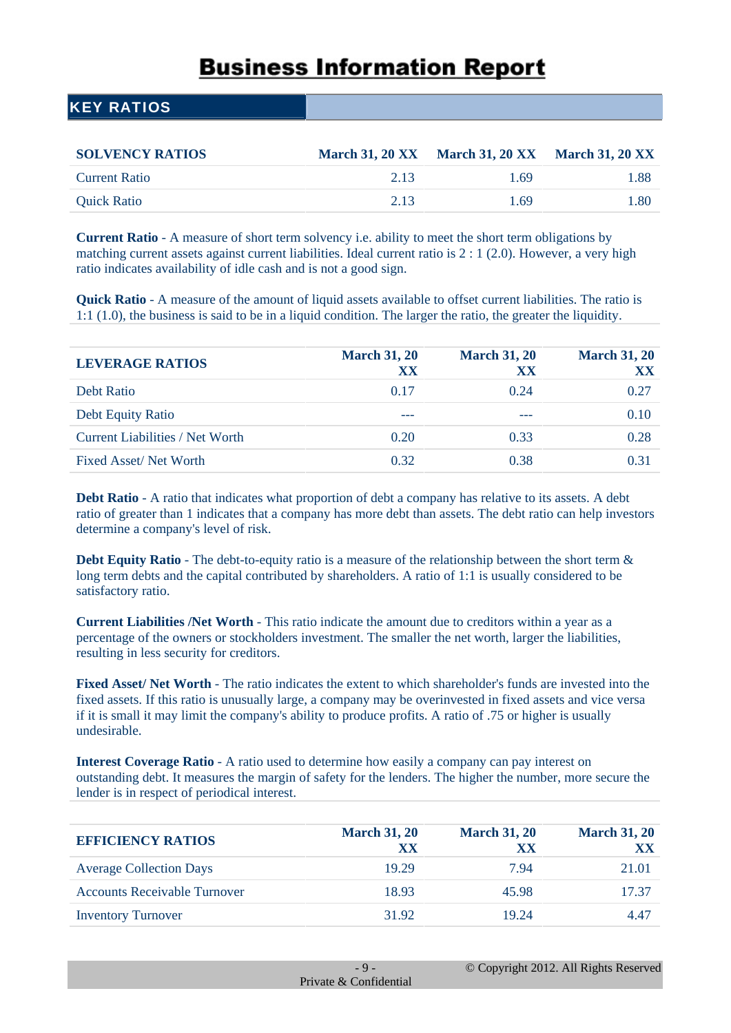#### KEY RATIOS

| <b>SOLVENCY RATIOS</b> |      | March 31, 20 XX March 31, 20 XX March 31, 20 XX |      |
|------------------------|------|-------------------------------------------------|------|
| <b>Current Ratio</b>   | 2.13 | 1.69                                            | 1.88 |
| <b>Quick Ratio</b>     | 2.13 | 1.69                                            | 1.80 |

**Current Ratio** - A measure of short term solvency i.e. ability to meet the short term obligations by matching current assets against current liabilities. Ideal current ratio is 2 : 1 (2.0). However, a very high ratio indicates availability of idle cash and is not a good sign.

**Quick Ratio** - A measure of the amount of liquid assets available to offset current liabilities. The ratio is 1:1 (1.0), the business is said to be in a liquid condition. The larger the ratio, the greater the liquidity.

| <b>LEVERAGE RATIOS</b>          | <b>March 31, 20</b><br>XX | <b>March 31, 20</b><br>XX | <b>March 31, 20</b><br>XX |
|---------------------------------|---------------------------|---------------------------|---------------------------|
| Debt Ratio                      | 0.17                      | 0.24                      | 0.27                      |
| Debt Equity Ratio               | ---                       |                           | 0.10                      |
| Current Liabilities / Net Worth | 0.20                      | 0.33                      | 0.28                      |
| Fixed Asset/Net Worth           | 0.32                      | 0.38                      | 0.31                      |

**Debt Ratio** - A ratio that indicates what proportion of debt a company has relative to its assets. A debt ratio of greater than 1 indicates that a company has more debt than assets. The debt ratio can help investors determine a company's level of risk.

**Debt Equity Ratio** - The debt-to-equity ratio is a measure of the relationship between the short term  $\&$ long term debts and the capital contributed by shareholders. A ratio of 1:1 is usually considered to be satisfactory ratio.

**Current Liabilities /Net Worth** - This ratio indicate the amount due to creditors within a year as a percentage of the owners or stockholders investment. The smaller the net worth, larger the liabilities, resulting in less security for creditors.

**Fixed Asset/ Net Worth** - The ratio indicates the extent to which shareholder's funds are invested into the fixed assets. If this ratio is unusually large, a company may be overinvested in fixed assets and vice versa if it is small it may limit the company's ability to produce profits. A ratio of .75 or higher is usually undesirable.

**Interest Coverage Ratio** - A ratio used to determine how easily a company can pay interest on outstanding debt. It measures the margin of safety for the lenders. The higher the number, more secure the lender is in respect of periodical interest.

| <b>EFFICIENCY RATIOS</b>            | <b>March 31, 20</b><br>XX | <b>March 31, 20</b><br>XX | <b>March 31, 20</b><br>XX |
|-------------------------------------|---------------------------|---------------------------|---------------------------|
| <b>Average Collection Days</b>      | 19.29                     | 794                       | 21.01                     |
| <b>Accounts Receivable Turnover</b> | 18.93                     | 45.98                     | 17 37                     |
| <b>Inventory Turnover</b>           | 31.92                     | 19.24                     | 447                       |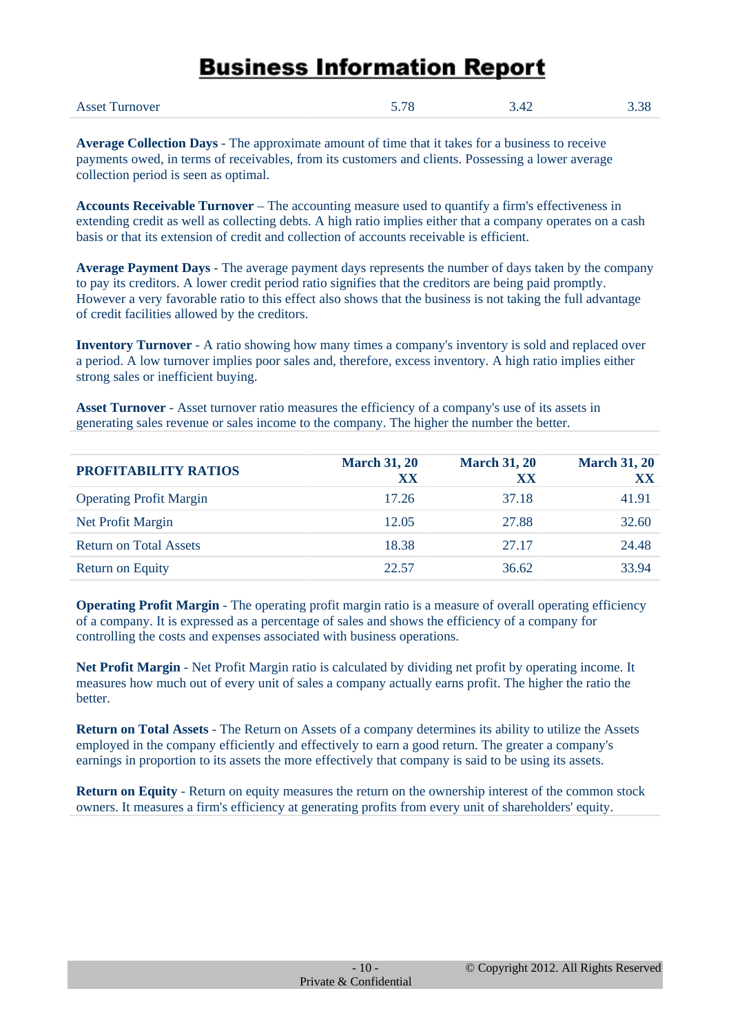| <b>Asset Turnover</b> | 5 78 | ۔ 42.د | $\Omega$<br>3.38 |
|-----------------------|------|--------|------------------|
|                       |      |        |                  |

**Average Collection Days** - The approximate amount of time that it takes for a business to receive payments owed, in terms of receivables, from its customers and clients. Possessing a lower average collection period is seen as optimal.

**Accounts Receivable Turnover** – The accounting measure used to quantify a firm's effectiveness in extending credit as well as collecting debts. A high ratio implies either that a company operates on a cash basis or that its extension of credit and collection of accounts receivable is efficient.

**Average Payment Days** - The average payment days represents the number of days taken by the company to pay its creditors. A lower credit period ratio signifies that the creditors are being paid promptly. However a very favorable ratio to this effect also shows that the business is not taking the full advantage of credit facilities allowed by the creditors.

**Inventory Turnover** - A ratio showing how many times a company's inventory is sold and replaced over a period. A low turnover implies poor sales and, therefore, excess inventory. A high ratio implies either strong sales or inefficient buying.

**Asset Turnover** - Asset turnover ratio measures the efficiency of a company's use of its assets in generating sales revenue or sales income to the company. The higher the number the better.

| PROFITABILITY RATIOS           | <b>March 31, 20</b><br>XX | <b>March 31, 20</b><br>XX | <b>March 31, 20</b><br>XX |
|--------------------------------|---------------------------|---------------------------|---------------------------|
| <b>Operating Profit Margin</b> | 17.26                     | 37.18                     | 41.91                     |
| Net Profit Margin              | 12.05                     | 27.88                     | 32.60                     |
| <b>Return on Total Assets</b>  | 18.38                     | 27.17                     | 24.48                     |
| Return on Equity               | 22.57                     | 36.62                     | 33.94                     |

**Operating Profit Margin** - The operating profit margin ratio is a measure of overall operating efficiency of a company. It is expressed as a percentage of sales and shows the efficiency of a company for controlling the costs and expenses associated with business operations.

**Net Profit Margin** - Net Profit Margin ratio is calculated by dividing net profit by operating income. It measures how much out of every unit of sales a company actually earns profit. The higher the ratio the better.

**Return on Total Assets** - The Return on Assets of a company determines its ability to utilize the Assets employed in the company efficiently and effectively to earn a good return. The greater a company's earnings in proportion to its assets the more effectively that company is said to be using its assets.

**Return on Equity** - Return on equity measures the return on the ownership interest of the common stock owners. It measures a firm's efficiency at generating profits from every unit of shareholders' equity.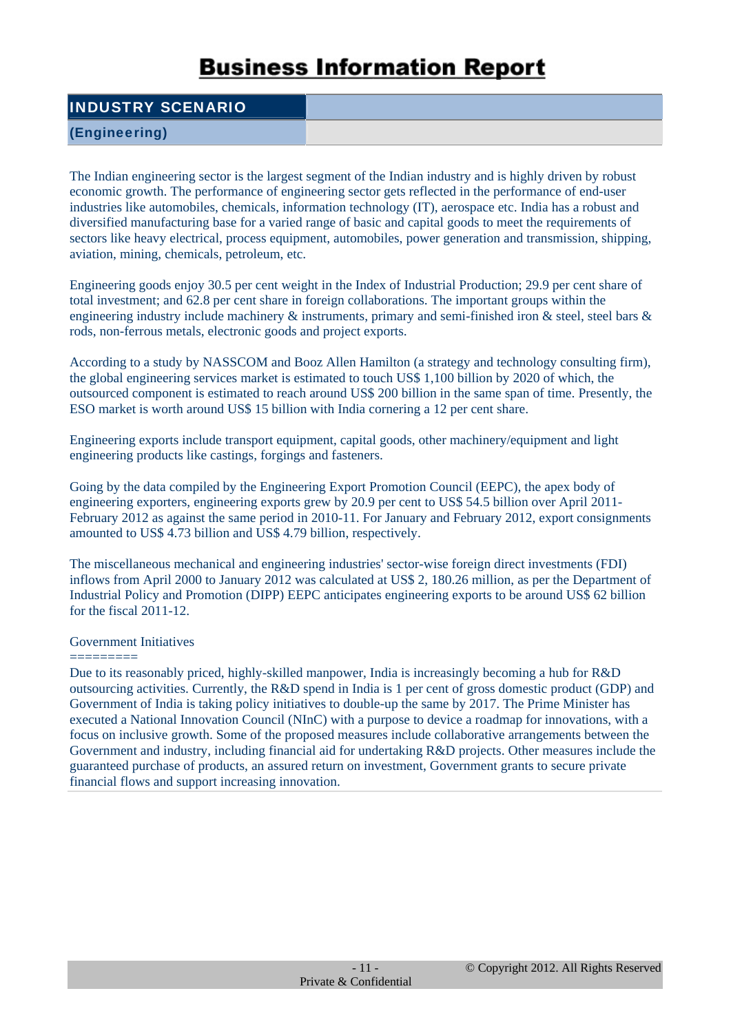#### INDUSTRY SCENARIO

#### (Engineering)

The Indian engineering sector is the largest segment of the Indian industry and is highly driven by robust economic growth. The performance of engineering sector gets reflected in the performance of end-user industries like automobiles, chemicals, information technology (IT), aerospace etc. India has a robust and diversified manufacturing base for a varied range of basic and capital goods to meet the requirements of sectors like heavy electrical, process equipment, automobiles, power generation and transmission, shipping, aviation, mining, chemicals, petroleum, etc.

Engineering goods enjoy 30.5 per cent weight in the Index of Industrial Production; 29.9 per cent share of total investment; and 62.8 per cent share in foreign collaborations. The important groups within the engineering industry include machinery & instruments, primary and semi-finished iron & steel, steel bars & rods, non-ferrous metals, electronic goods and project exports.

According to a study by NASSCOM and Booz Allen Hamilton (a strategy and technology consulting firm), the global engineering services market is estimated to touch US\$ 1,100 billion by 2020 of which, the outsourced component is estimated to reach around US\$ 200 billion in the same span of time. Presently, the ESO market is worth around US\$ 15 billion with India cornering a 12 per cent share.

Engineering exports include transport equipment, capital goods, other machinery/equipment and light engineering products like castings, forgings and fasteners.

Going by the data compiled by the Engineering Export Promotion Council (EEPC), the apex body of engineering exporters, engineering exports grew by 20.9 per cent to US\$ 54.5 billion over April 2011- February 2012 as against the same period in 2010-11. For January and February 2012, export consignments amounted to US\$ 4.73 billion and US\$ 4.79 billion, respectively.

The miscellaneous mechanical and engineering industries' sector-wise foreign direct investments (FDI) inflows from April 2000 to January 2012 was calculated at US\$ 2, 180.26 million, as per the Department of Industrial Policy and Promotion (DIPP) EEPC anticipates engineering exports to be around US\$ 62 billion for the fiscal 2011-12.

#### Government Initiatives

========= Due to its reasonably priced, highly-skilled manpower, India is increasingly becoming a hub for R&D outsourcing activities. Currently, the R&D spend in India is 1 per cent of gross domestic product (GDP) and Government of India is taking policy initiatives to double-up the same by 2017. The Prime Minister has executed a National Innovation Council (NInC) with a purpose to device a roadmap for innovations, with a focus on inclusive growth. Some of the proposed measures include collaborative arrangements between the Government and industry, including financial aid for undertaking R&D projects. Other measures include the guaranteed purchase of products, an assured return on investment, Government grants to secure private financial flows and support increasing innovation.